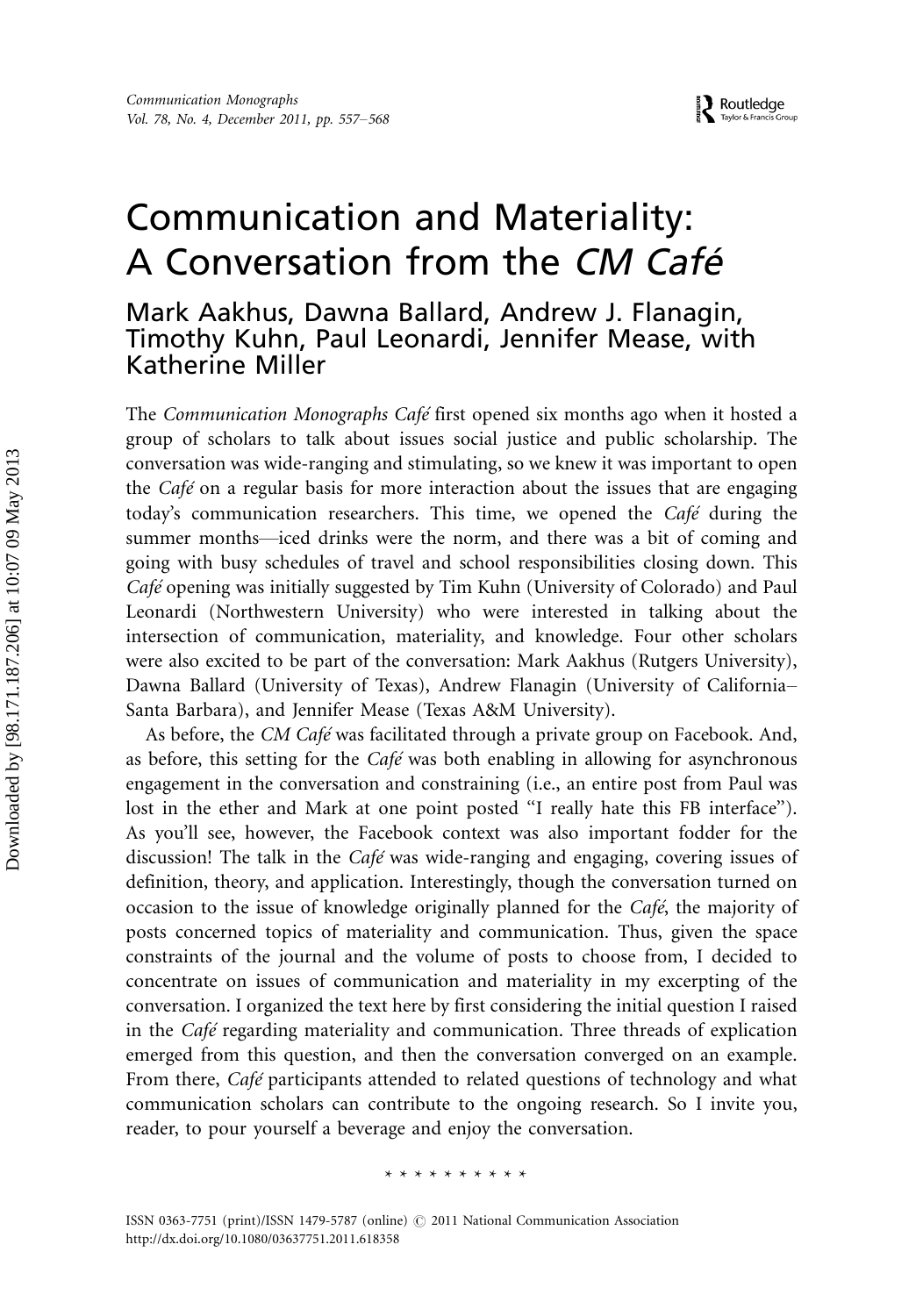# Communication and Materiality: A Conversation from the CM Café

# Mark Aakhus, Dawna Ballard, Andrew J. Flanagin, Timothy Kuhn, Paul Leonardi, Jennifer Mease, with Katherine Miller

The Communication Monographs Café first opened six months ago when it hosted a group of scholars to talk about issues social justice and public scholarship. The conversation was wide-ranging and stimulating, so we knew it was important to open the *Café* on a regular basis for more interaction about the issues that are engaging today's communication researchers. This time, we opened the Café during the summer months—iced drinks were the norm, and there was a bit of coming and going with busy schedules of travel and school responsibilities closing down. This Café opening was initially suggested by Tim Kuhn (University of Colorado) and Paul Leonardi (Northwestern University) who were interested in talking about the intersection of communication, materiality, and knowledge. Four other scholars were also excited to be part of the conversation: Mark Aakhus (Rutgers University), Dawna Ballard (University of Texas), Andrew Flanagin (University of California- Santa Barbara), and Jennifer Mease (Texas A&M University).

As before, the CM Café was facilitated through a private group on Facebook. And, as before, this setting for the *Café* was both enabling in allowing for asynchronous engagement in the conversation and constraining (i.e., an entire post from Paul was lost in the ether and Mark at one point posted "I really hate this FB interface"). As you'll see, however, the Facebook context was also important fodder for the discussion! The talk in the Café was wide-ranging and engaging, covering issues of definition, theory, and application. Interestingly, though the conversation turned on occasion to the issue of knowledge originally planned for the Café, the majority of posts concerned topics of materiality and communication. Thus, given the space constraints of the journal and the volume of posts to choose from, I decided to concentrate on issues of communication and materiality in my excerpting of the conversation. I organized the text here by first considering the initial question I raised in the *Café* regarding materiality and communication. Three threads of explication emerged from this question, and then the conversation converged on an example. From there, *Café* participants attended to related questions of technology and what communication scholars can contribute to the ongoing research. So I invite you, reader, to pour yourself a beverage and enjoy the conversation.

#### \*\*\*\*\*\*\*\*\*\*

ISSN 0363-7751 (print)/ISSN 1479-5787 (online)  $\odot$  2011 National Communication Association <http://dx.doi.org/10.1080/03637751.2011.618358>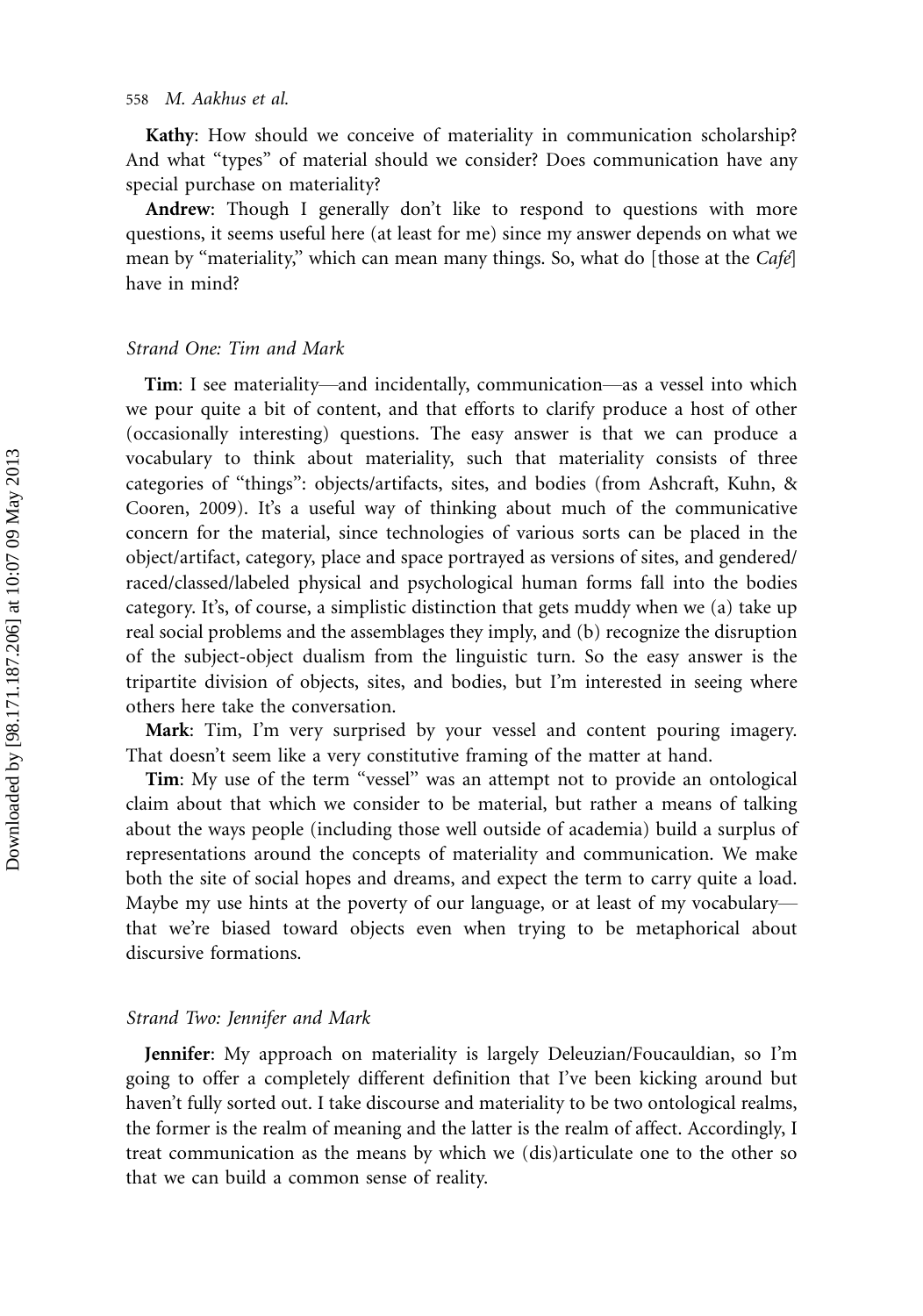Kathy: How should we conceive of materiality in communication scholarship? And what "types" of material should we consider? Does communication have any special purchase on materiality?

Andrew: Though I generally don't like to respond to questions with more questions, it seems useful here (at least for me) since my answer depends on what we mean by "materiality," which can mean many things. So, what do [those at the  $Caf\acute{e}$ ] have in mind?

#### Strand One: Tim and Mark

Tim: I see materiality—and incidentally, communication—as a vessel into which we pour quite a bit of content, and that efforts to clarify produce a host of other (occasionally interesting) questions. The easy answer is that we can produce a vocabulary to think about materiality, such that materiality consists of three categories of ''things'': objects/artifacts, sites, and bodies (from Ashcraft, Kuhn, & Cooren, 2009). It's a useful way of thinking about much of the communicative concern for the material, since technologies of various sorts can be placed in the object/artifact, category, place and space portrayed as versions of sites, and gendered/ raced/classed/labeled physical and psychological human forms fall into the bodies category. It's, of course, a simplistic distinction that gets muddy when we (a) take up real social problems and the assemblages they imply, and (b) recognize the disruption of the subject-object dualism from the linguistic turn. So the easy answer is the tripartite division of objects, sites, and bodies, but I'm interested in seeing where others here take the conversation.

Mark: Tim, I'm very surprised by your vessel and content pouring imagery. That doesn't seem like a very constitutive framing of the matter at hand.

Tim: My use of the term "vessel" was an attempt not to provide an ontological claim about that which we consider to be material, but rather a means of talking about the ways people (including those well outside of academia) build a surplus of representations around the concepts of materiality and communication. We make both the site of social hopes and dreams, and expect the term to carry quite a load. Maybe my use hints at the poverty of our language, or at least of my vocabularythat we're biased toward objects even when trying to be metaphorical about discursive formations.

### Strand Two: Jennifer and Mark

Jennifer: My approach on materiality is largely Deleuzian/Foucauldian, so I'm going to offer a completely different definition that I've been kicking around but haven't fully sorted out. I take discourse and materiality to be two ontological realms, the former is the realm of meaning and the latter is the realm of affect. Accordingly, I treat communication as the means by which we (dis)articulate one to the other so that we can build a common sense of reality.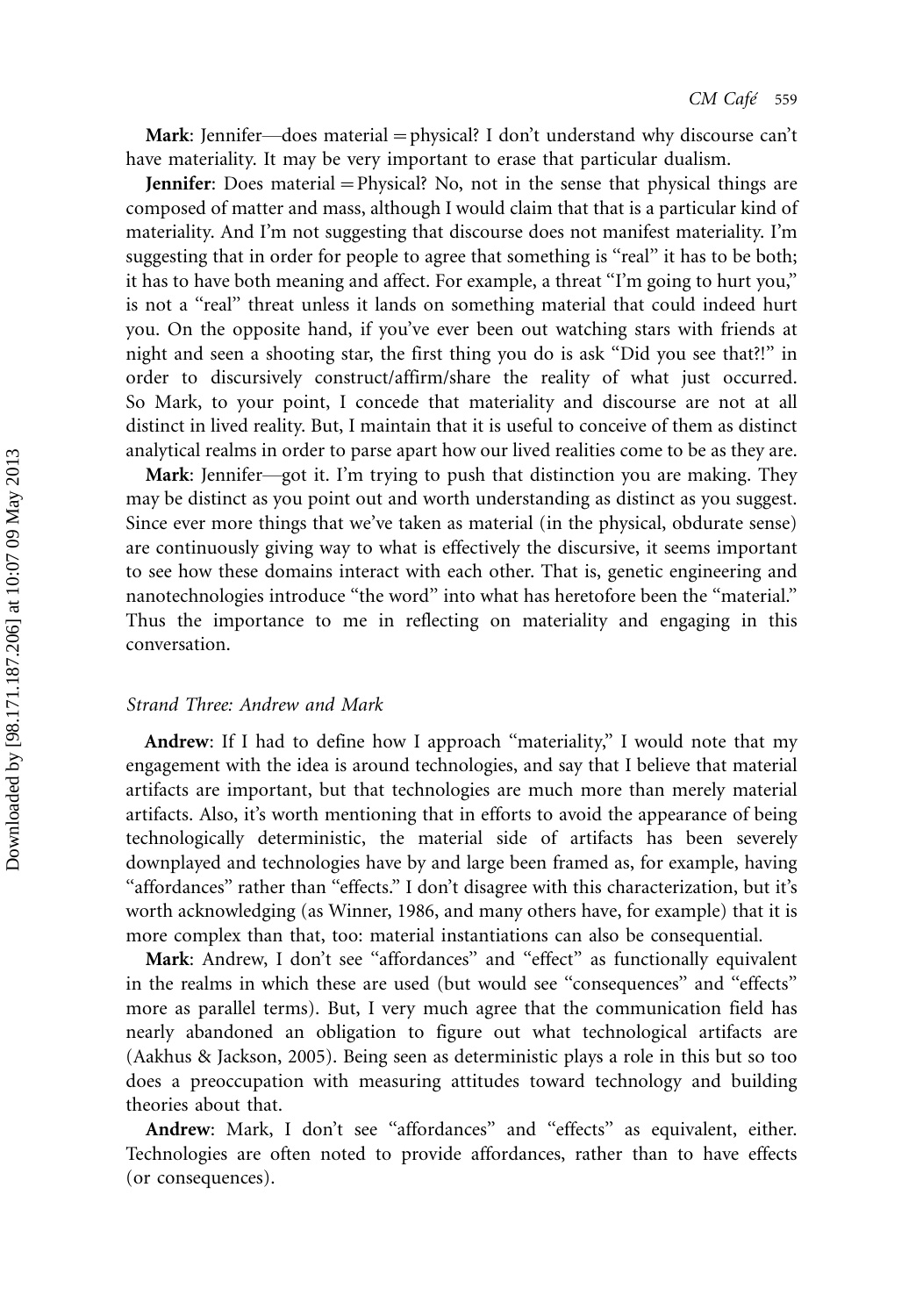Mark: Jennifer—does material = physical? I don't understand why discourse can't have materiality. It may be very important to erase that particular dualism.

**Jennifer**: Does material = Physical? No, not in the sense that physical things are composed of matter and mass, although I would claim that that is a particular kind of materiality. And I'm not suggesting that discourse does not manifest materiality. I'm suggesting that in order for people to agree that something is "real" it has to be both; it has to have both meaning and affect. For example, a threat "I'm going to hurt you," is not a "real" threat unless it lands on something material that could indeed hurt you. On the opposite hand, if you've ever been out watching stars with friends at night and seen a shooting star, the first thing you do is ask ''Did you see that?!'' in order to discursively construct/affirm/share the reality of what just occurred. So Mark, to your point, I concede that materiality and discourse are not at all distinct in lived reality. But, I maintain that it is useful to conceive of them as distinct analytical realms in order to parse apart how our lived realities come to be as they are.

Mark: Jennifer-got it. I'm trying to push that distinction you are making. They may be distinct as you point out and worth understanding as distinct as you suggest. Since ever more things that we've taken as material (in the physical, obdurate sense) are continuously giving way to what is effectively the discursive, it seems important to see how these domains interact with each other. That is, genetic engineering and nanotechnologies introduce "the word" into what has heretofore been the "material." Thus the importance to me in reflecting on materiality and engaging in this conversation.

#### Strand Three: Andrew and Mark

Andrew: If I had to define how I approach "materiality," I would note that my engagement with the idea is around technologies, and say that I believe that material artifacts are important, but that technologies are much more than merely material artifacts. Also, it's worth mentioning that in efforts to avoid the appearance of being technologically deterministic, the material side of artifacts has been severely downplayed and technologies have by and large been framed as, for example, having "affordances" rather than "effects." I don't disagree with this characterization, but it's worth acknowledging (as Winner, 1986, and many others have, for example) that it is more complex than that, too: material instantiations can also be consequential.

Mark: Andrew, I don't see "affordances" and "effect" as functionally equivalent in the realms in which these are used (but would see ''consequences'' and ''effects'' more as parallel terms). But, I very much agree that the communication field has nearly abandoned an obligation to figure out what technological artifacts are (Aakhus & Jackson, 2005). Being seen as deterministic plays a role in this but so too does a preoccupation with measuring attitudes toward technology and building theories about that.

Andrew: Mark, I don't see "affordances" and "effects" as equivalent, either. Technologies are often noted to provide affordances, rather than to have effects (or consequences).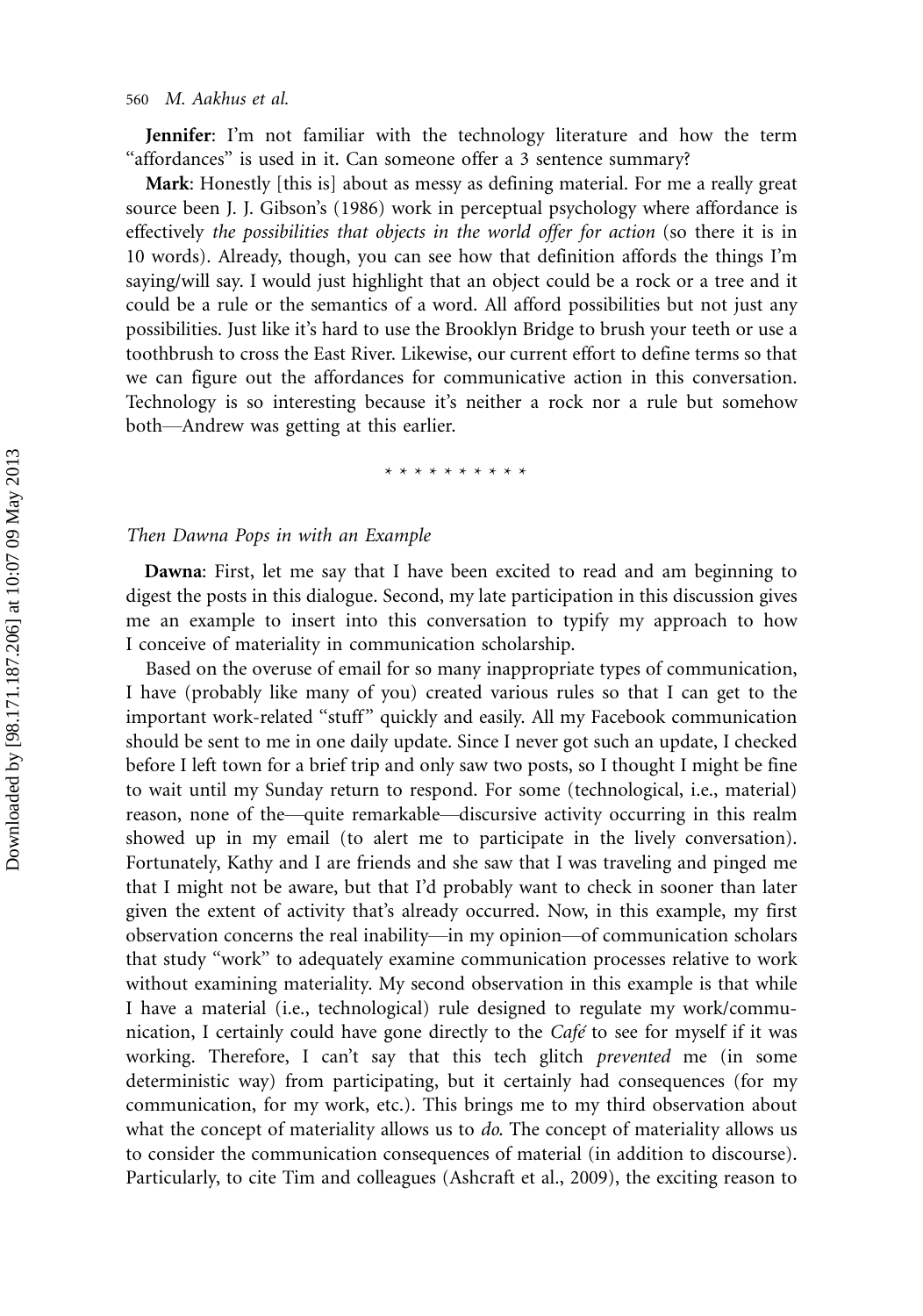Jennifer: I'm not familiar with the technology literature and how the term "affordances" is used in it. Can someone offer a 3 sentence summary?

Mark: Honestly [this is] about as messy as defining material. For me a really great source been J. J. Gibson's (1986) work in perceptual psychology where affordance is effectively the possibilities that objects in the world offer for action (so there it is in 10 words). Already, though, you can see how that definition affords the things I'm saying/will say. I would just highlight that an object could be a rock or a tree and it could be a rule or the semantics of a word. All afford possibilities but not just any possibilities. Just like it's hard to use the Brooklyn Bridge to brush your teeth or use a toothbrush to cross the East River. Likewise, our current effort to define terms so that we can figure out the affordances for communicative action in this conversation. Technology is so interesting because it's neither a rock nor a rule but somehow both-Andrew was getting at this earlier.

\*\*\*\*\*\*\*\*\*\*

### Then Dawna Pops in with an Example

Dawna: First, let me say that I have been excited to read and am beginning to digest the posts in this dialogue. Second, my late participation in this discussion gives me an example to insert into this conversation to typify my approach to how I conceive of materiality in communication scholarship.

Based on the overuse of email for so many inappropriate types of communication, I have (probably like many of you) created various rules so that I can get to the important work-related ''stuff'' quickly and easily. All my Facebook communication should be sent to me in one daily update. Since I never got such an update, I checked before I left town for a brief trip and only saw two posts, so I thought I might be fine to wait until my Sunday return to respond. For some (technological, i.e., material) reason, none of the—quite remarkable—discursive activity occurring in this realm showed up in my email (to alert me to participate in the lively conversation). Fortunately, Kathy and I are friends and she saw that I was traveling and pinged me that I might not be aware, but that I'd probably want to check in sooner than later given the extent of activity that's already occurred. Now, in this example, my first observation concerns the real inability—in my opinion—of communication scholars that study ''work'' to adequately examine communication processes relative to work without examining materiality. My second observation in this example is that while I have a material (i.e., technological) rule designed to regulate my work/communication, I certainly could have gone directly to the  $Caf\acute{\epsilon}$  to see for myself if it was working. Therefore, I can't say that this tech glitch *prevented* me (in some deterministic way) from participating, but it certainly had consequences (for my communication, for my work, etc.). This brings me to my third observation about what the concept of materiality allows us to do. The concept of materiality allows us to consider the communication consequences of material (in addition to discourse). Particularly, to cite Tim and colleagues (Ashcraft et al., 2009), the exciting reason to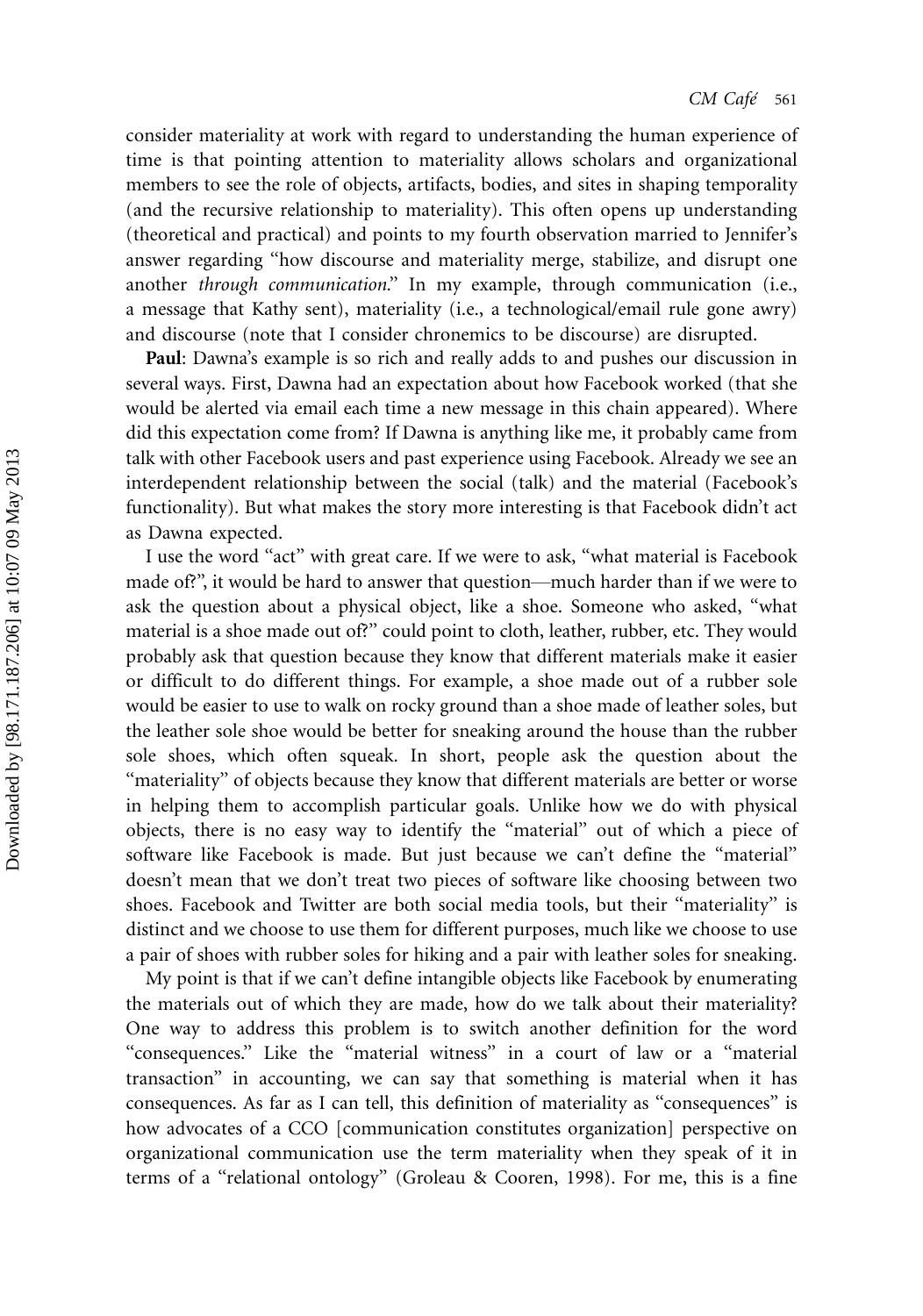consider materiality at work with regard to understanding the human experience of time is that pointing attention to materiality allows scholars and organizational members to see the role of objects, artifacts, bodies, and sites in shaping temporality (and the recursive relationship to materiality). This often opens up understanding (theoretical and practical) and points to my fourth observation married to Jennifer's answer regarding ''how discourse and materiality merge, stabilize, and disrupt one another through communication.'' In my example, through communication (i.e., a message that Kathy sent), materiality (i.e., a technological/email rule gone awry) and discourse (note that I consider chronemics to be discourse) are disrupted.

Paul: Dawna's example is so rich and really adds to and pushes our discussion in several ways. First, Dawna had an expectation about how Facebook worked (that she would be alerted via email each time a new message in this chain appeared). Where did this expectation come from? If Dawna is anything like me, it probably came from talk with other Facebook users and past experience using Facebook. Already we see an interdependent relationship between the social (talk) and the material (Facebook's functionality). But what makes the story more interesting is that Facebook didn't act as Dawna expected.

I use the word ''act'' with great care. If we were to ask, ''what material is Facebook made of?", it would be hard to answer that question—much harder than if we were to ask the question about a physical object, like a shoe. Someone who asked, ''what material is a shoe made out of?'' could point to cloth, leather, rubber, etc. They would probably ask that question because they know that different materials make it easier or difficult to do different things. For example, a shoe made out of a rubber sole would be easier to use to walk on rocky ground than a shoe made of leather soles, but the leather sole shoe would be better for sneaking around the house than the rubber sole shoes, which often squeak. In short, people ask the question about the "materiality" of objects because they know that different materials are better or worse in helping them to accomplish particular goals. Unlike how we do with physical objects, there is no easy way to identify the ''material'' out of which a piece of software like Facebook is made. But just because we can't define the ''material'' doesn't mean that we don't treat two pieces of software like choosing between two shoes. Facebook and Twitter are both social media tools, but their ''materiality'' is distinct and we choose to use them for different purposes, much like we choose to use a pair of shoes with rubber soles for hiking and a pair with leather soles for sneaking.

My point is that if we can't define intangible objects like Facebook by enumerating the materials out of which they are made, how do we talk about their materiality? One way to address this problem is to switch another definition for the word ''consequences.'' Like the ''material witness'' in a court of law or a ''material transaction'' in accounting, we can say that something is material when it has consequences. As far as I can tell, this definition of materiality as ''consequences'' is how advocates of a CCO [communication constitutes organization] perspective on organizational communication use the term materiality when they speak of it in terms of a ''relational ontology'' (Groleau & Cooren, 1998). For me, this is a fine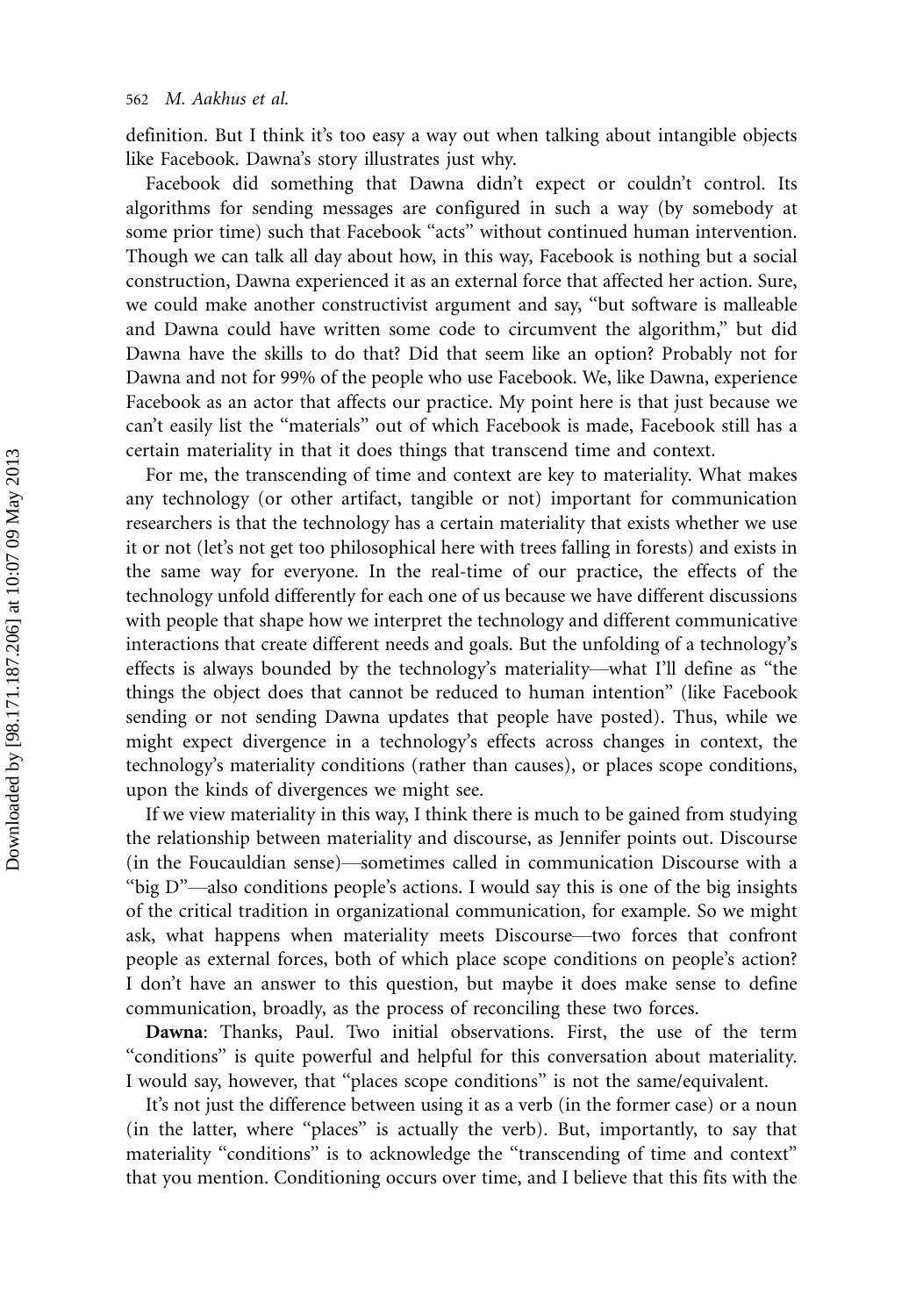definition. But I think it's too easy a way out when talking about intangible objects like Facebook. Dawna's story illustrates just why.

Facebook did something that Dawna didn't expect or couldn't control. Its algorithms for sending messages are configured in such a way (by somebody at some prior time) such that Facebook ''acts'' without continued human intervention. Though we can talk all day about how, in this way, Facebook is nothing but a social construction, Dawna experienced it as an external force that affected her action. Sure, we could make another constructivist argument and say, ''but software is malleable and Dawna could have written some code to circumvent the algorithm,'' but did Dawna have the skills to do that? Did that seem like an option? Probably not for Dawna and not for 99% of the people who use Facebook. We, like Dawna, experience Facebook as an actor that affects our practice. My point here is that just because we can't easily list the ''materials'' out of which Facebook is made, Facebook still has a certain materiality in that it does things that transcend time and context.

For me, the transcending of time and context are key to materiality. What makes any technology (or other artifact, tangible or not) important for communication researchers is that the technology has a certain materiality that exists whether we use it or not (let's not get too philosophical here with trees falling in forests) and exists in the same way for everyone. In the real-time of our practice, the effects of the technology unfold differently for each one of us because we have different discussions with people that shape how we interpret the technology and different communicative interactions that create different needs and goals. But the unfolding of a technology's effects is always bounded by the technology's materiality—what I'll define as "the things the object does that cannot be reduced to human intention'' (like Facebook sending or not sending Dawna updates that people have posted). Thus, while we might expect divergence in a technology's effects across changes in context, the technology's materiality conditions (rather than causes), or places scope conditions, upon the kinds of divergences we might see.

If we view materiality in this way, I think there is much to be gained from studying the relationship between materiality and discourse, as Jennifer points out. Discourse (in the Foucauldian sense)—sometimes called in communication Discourse with a "big  $D$ "—also conditions people's actions. I would say this is one of the big insights of the critical tradition in organizational communication, for example. So we might ask, what happens when materiality meets Discourse—two forces that confront people as external forces, both of which place scope conditions on people's action? I don't have an answer to this question, but maybe it does make sense to define communication, broadly, as the process of reconciling these two forces.

Dawna: Thanks, Paul. Two initial observations. First, the use of the term ''conditions'' is quite powerful and helpful for this conversation about materiality. I would say, however, that ''places scope conditions'' is not the same/equivalent.

It's not just the difference between using it as a verb (in the former case) or a noun (in the latter, where ''places'' is actually the verb). But, importantly, to say that materiality "conditions" is to acknowledge the "transcending of time and context" that you mention. Conditioning occurs over time, and I believe that this fits with the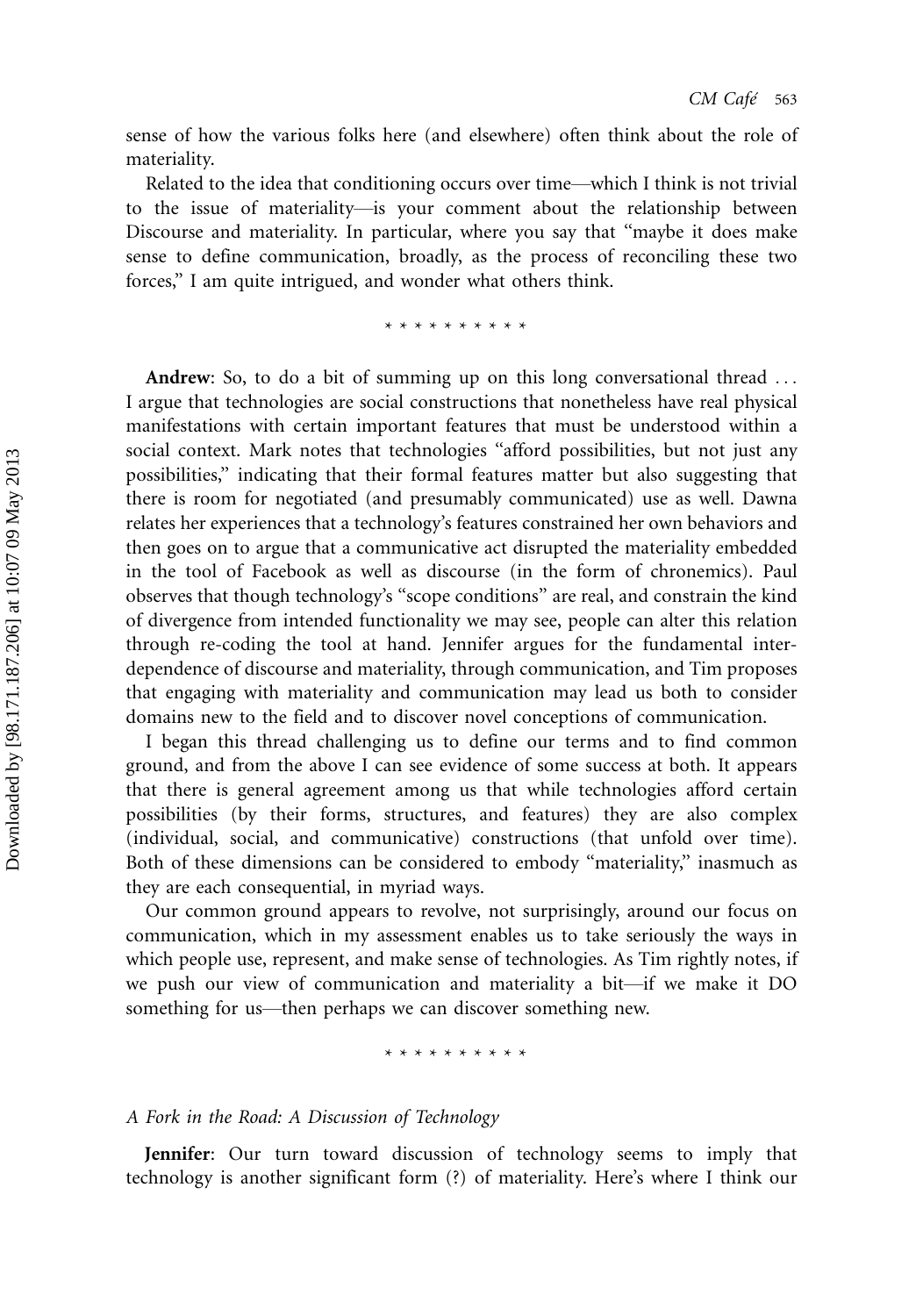sense of how the various folks here (and elsewhere) often think about the role of materiality.

Related to the idea that conditioning occurs over time—which I think is not trivial to the issue of materiality—is your comment about the relationship between Discourse and materiality. In particular, where you say that ''maybe it does make sense to define communication, broadly, as the process of reconciling these two forces,'' I am quite intrigued, and wonder what others think.

\*\*\*\*\*\*\*\*\*\*

Andrew: So, to do a bit of summing up on this long conversational thread ... I argue that technologies are social constructions that nonetheless have real physical manifestations with certain important features that must be understood within a social context. Mark notes that technologies ''afford possibilities, but not just any possibilities,'' indicating that their formal features matter but also suggesting that there is room for negotiated (and presumably communicated) use as well. Dawna relates her experiences that a technology's features constrained her own behaviors and then goes on to argue that a communicative act disrupted the materiality embedded in the tool of Facebook as well as discourse (in the form of chronemics). Paul observes that though technology's ''scope conditions'' are real, and constrain the kind of divergence from intended functionality we may see, people can alter this relation through re-coding the tool at hand. Jennifer argues for the fundamental interdependence of discourse and materiality, through communication, and Tim proposes that engaging with materiality and communication may lead us both to consider domains new to the field and to discover novel conceptions of communication.

I began this thread challenging us to define our terms and to find common ground, and from the above I can see evidence of some success at both. It appears that there is general agreement among us that while technologies afford certain possibilities (by their forms, structures, and features) they are also complex (individual, social, and communicative) constructions (that unfold over time). Both of these dimensions can be considered to embody ''materiality,'' inasmuch as they are each consequential, in myriad ways.

Our common ground appears to revolve, not surprisingly, around our focus on communication, which in my assessment enables us to take seriously the ways in which people use, represent, and make sense of technologies. As Tim rightly notes, if we push our view of communication and materiality a bit—if we make it DO something for us—then perhaps we can discover something new.

\*\*\*\*\*\*\*\*\*\*

### A Fork in the Road: A Discussion of Technology

Jennifer: Our turn toward discussion of technology seems to imply that technology is another significant form (?) of materiality. Here's where I think our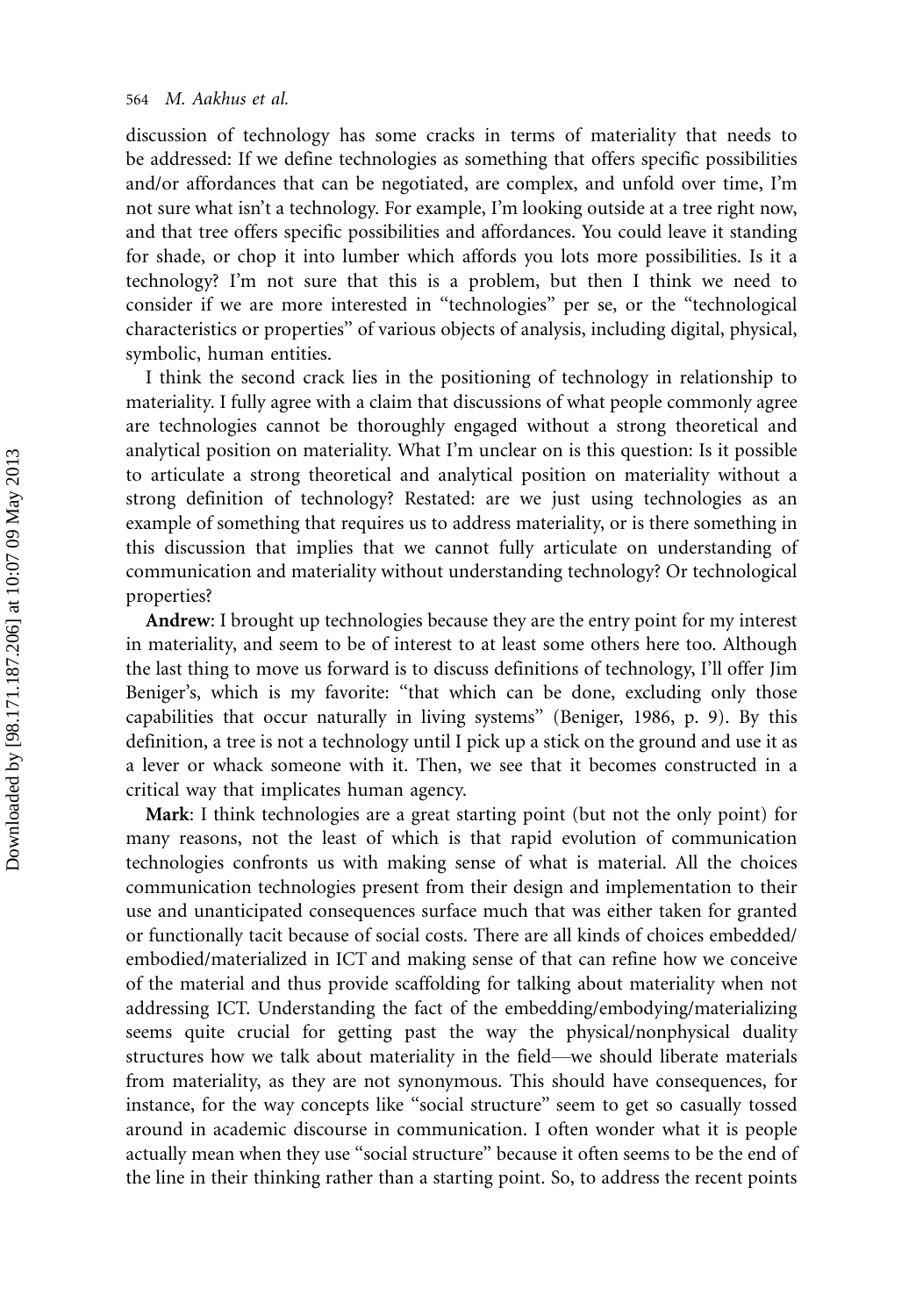discussion of technology has some cracks in terms of materiality that needs to be addressed: If we define technologies as something that offers specific possibilities and/or affordances that can be negotiated, are complex, and unfold over time, I'm not sure what isn't a technology. For example, I'm looking outside at a tree right now, and that tree offers specific possibilities and affordances. You could leave it standing for shade, or chop it into lumber which affords you lots more possibilities. Is it a technology? I'm not sure that this is a problem, but then I think we need to consider if we are more interested in ''technologies'' per se, or the ''technological characteristics or properties'' of various objects of analysis, including digital, physical, symbolic, human entities.

I think the second crack lies in the positioning of technology in relationship to materiality. I fully agree with a claim that discussions of what people commonly agree are technologies cannot be thoroughly engaged without a strong theoretical and analytical position on materiality. What I'm unclear on is this question: Is it possible to articulate a strong theoretical and analytical position on materiality without a strong definition of technology? Restated: are we just using technologies as an example of something that requires us to address materiality, or is there something in this discussion that implies that we cannot fully articulate on understanding of communication and materiality without understanding technology? Or technological properties?

Andrew: I brought up technologies because they are the entry point for my interest in materiality, and seem to be of interest to at least some others here too. Although the last thing to move us forward is to discuss definitions of technology, I'll offer Jim Beniger's, which is my favorite: "that which can be done, excluding only those capabilities that occur naturally in living systems'' (Beniger, 1986, p. 9). By this definition, a tree is not a technology until I pick up a stick on the ground and use it as a lever or whack someone with it. Then, we see that it becomes constructed in a critical way that implicates human agency.

Mark: I think technologies are a great starting point (but not the only point) for many reasons, not the least of which is that rapid evolution of communication technologies confronts us with making sense of what is material. All the choices communication technologies present from their design and implementation to their use and unanticipated consequences surface much that was either taken for granted or functionally tacit because of social costs. There are all kinds of choices embedded/ embodied/materialized in ICT and making sense of that can refine how we conceive of the material and thus provide scaffolding for talking about materiality when not addressing ICT. Understanding the fact of the embedding/embodying/materializing seems quite crucial for getting past the way the physical/nonphysical duality structures how we talk about materiality in the field\*we should liberate materials from materiality, as they are not synonymous. This should have consequences, for instance, for the way concepts like ''social structure'' seem to get so casually tossed around in academic discourse in communication. I often wonder what it is people actually mean when they use ''social structure'' because it often seems to be the end of the line in their thinking rather than a starting point. So, to address the recent points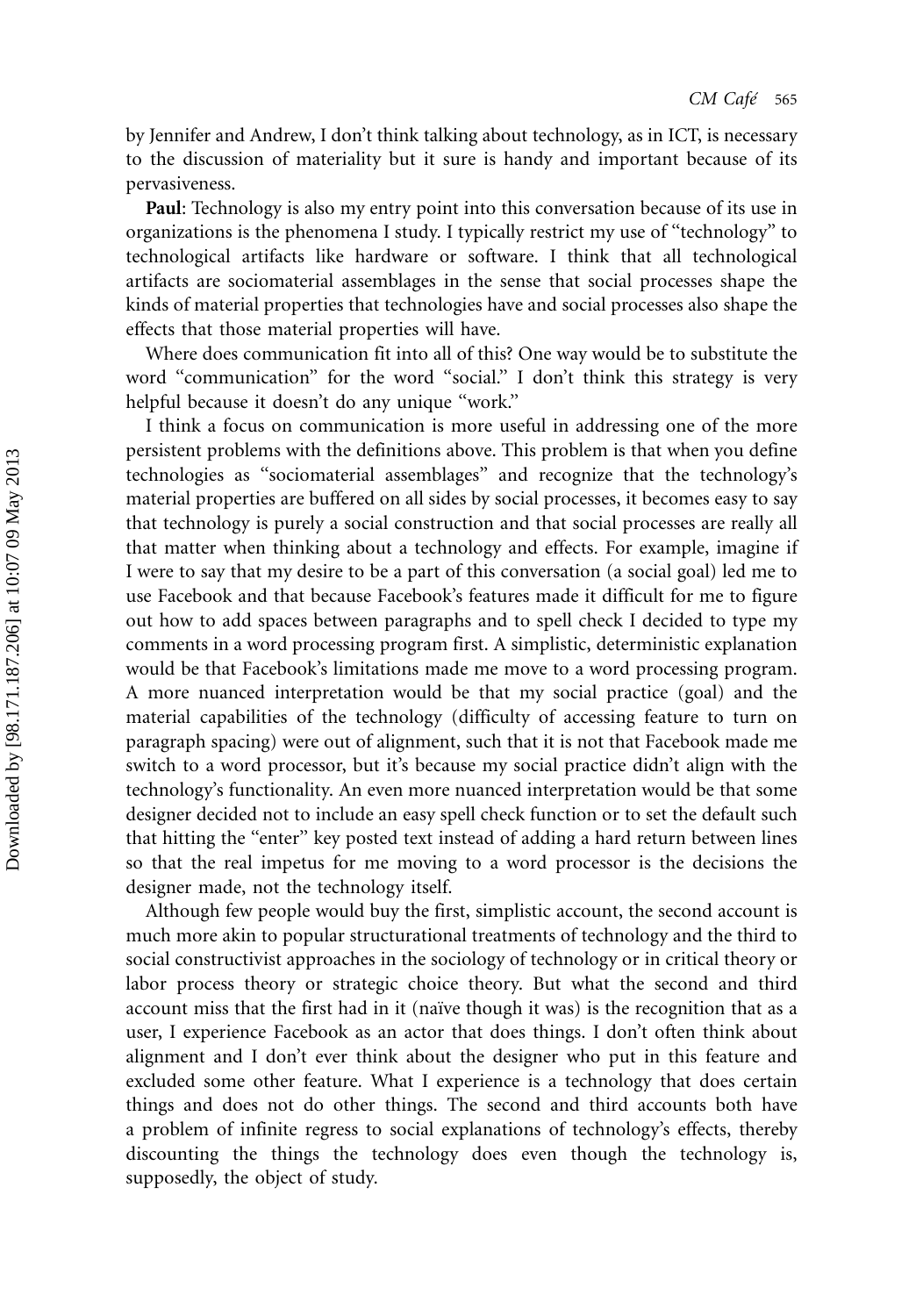by Jennifer and Andrew, I don't think talking about technology, as in ICT, is necessary to the discussion of materiality but it sure is handy and important because of its pervasiveness.

Paul: Technology is also my entry point into this conversation because of its use in organizations is the phenomena I study. I typically restrict my use of ''technology'' to technological artifacts like hardware or software. I think that all technological artifacts are sociomaterial assemblages in the sense that social processes shape the kinds of material properties that technologies have and social processes also shape the effects that those material properties will have.

Where does communication fit into all of this? One way would be to substitute the word "communication" for the word "social." I don't think this strategy is very helpful because it doesn't do any unique "work."

I think a focus on communication is more useful in addressing one of the more persistent problems with the definitions above. This problem is that when you define technologies as ''sociomaterial assemblages'' and recognize that the technology's material properties are buffered on all sides by social processes, it becomes easy to say that technology is purely a social construction and that social processes are really all that matter when thinking about a technology and effects. For example, imagine if I were to say that my desire to be a part of this conversation (a social goal) led me to use Facebook and that because Facebook's features made it difficult for me to figure out how to add spaces between paragraphs and to spell check I decided to type my comments in a word processing program first. A simplistic, deterministic explanation would be that Facebook's limitations made me move to a word processing program. A more nuanced interpretation would be that my social practice (goal) and the material capabilities of the technology (difficulty of accessing feature to turn on paragraph spacing) were out of alignment, such that it is not that Facebook made me switch to a word processor, but it's because my social practice didn't align with the technology's functionality. An even more nuanced interpretation would be that some designer decided not to include an easy spell check function or to set the default such that hitting the "enter" key posted text instead of adding a hard return between lines so that the real impetus for me moving to a word processor is the decisions the designer made, not the technology itself.

Although few people would buy the first, simplistic account, the second account is much more akin to popular structurational treatments of technology and the third to social constructivist approaches in the sociology of technology or in critical theory or labor process theory or strategic choice theory. But what the second and third account miss that the first had in it (naïve though it was) is the recognition that as a user, I experience Facebook as an actor that does things. I don't often think about alignment and I don't ever think about the designer who put in this feature and excluded some other feature. What I experience is a technology that does certain things and does not do other things. The second and third accounts both have a problem of infinite regress to social explanations of technology's effects, thereby discounting the things the technology does even though the technology is, supposedly, the object of study.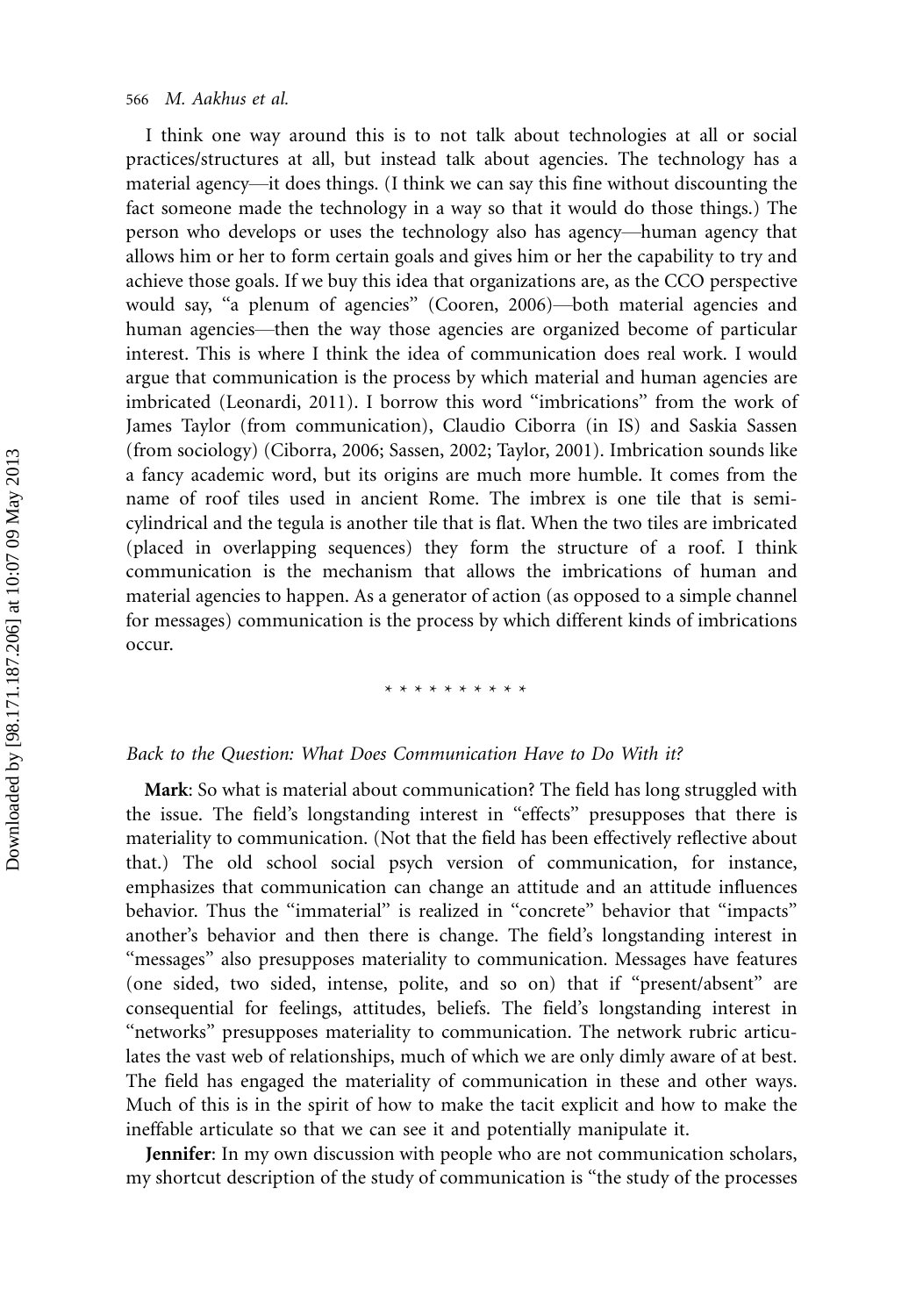I think one way around this is to not talk about technologies at all or social practices/structures at all, but instead talk about agencies. The technology has a material agency—it does things. (I think we can say this fine without discounting the fact someone made the technology in a way so that it would do those things.) The person who develops or uses the technology also has agency\*human agency that allows him or her to form certain goals and gives him or her the capability to try and achieve those goals. If we buy this idea that organizations are, as the CCO perspective would say, "a plenum of agencies" (Cooren, 2006)—both material agencies and human agencies—then the way those agencies are organized become of particular interest. This is where I think the idea of communication does real work. I would argue that communication is the process by which material and human agencies are imbricated (Leonardi, 2011). I borrow this word ''imbrications'' from the work of James Taylor (from communication), Claudio Ciborra (in IS) and Saskia Sassen (from sociology) (Ciborra, 2006; Sassen, 2002; Taylor, 2001). Imbrication sounds like a fancy academic word, but its origins are much more humble. It comes from the name of roof tiles used in ancient Rome. The imbrex is one tile that is semicylindrical and the tegula is another tile that is flat. When the two tiles are imbricated (placed in overlapping sequences) they form the structure of a roof. I think communication is the mechanism that allows the imbrications of human and material agencies to happen. As a generator of action (as opposed to a simple channel for messages) communication is the process by which different kinds of imbrications occur.

## \*\*\*\*\*\*\*\*\*\*

#### Back to the Question: What Does Communication Have to Do With it?

Mark: So what is material about communication? The field has long struggled with the issue. The field's longstanding interest in ''effects'' presupposes that there is materiality to communication. (Not that the field has been effectively reflective about that.) The old school social psych version of communication, for instance, emphasizes that communication can change an attitude and an attitude influences behavior. Thus the "immaterial" is realized in "concrete" behavior that "impacts" another's behavior and then there is change. The field's longstanding interest in ''messages'' also presupposes materiality to communication. Messages have features (one sided, two sided, intense, polite, and so on) that if ''present/absent'' are consequential for feelings, attitudes, beliefs. The field's longstanding interest in ''networks'' presupposes materiality to communication. The network rubric articulates the vast web of relationships, much of which we are only dimly aware of at best. The field has engaged the materiality of communication in these and other ways. Much of this is in the spirit of how to make the tacit explicit and how to make the ineffable articulate so that we can see it and potentially manipulate it.

Jennifer: In my own discussion with people who are not communication scholars, my shortcut description of the study of communication is ''the study of the processes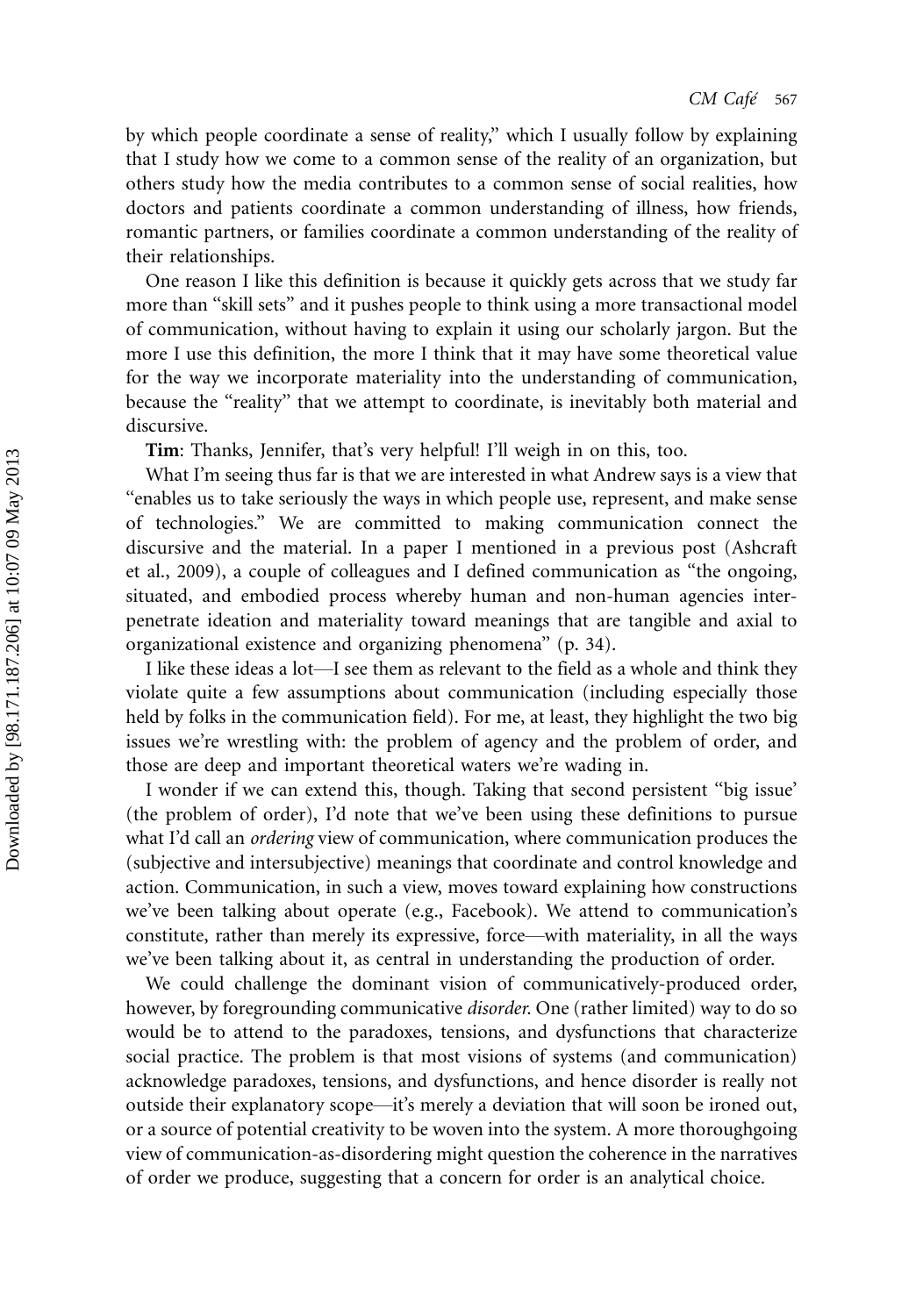by which people coordinate a sense of reality,'' which I usually follow by explaining that I study how we come to a common sense of the reality of an organization, but others study how the media contributes to a common sense of social realities, how doctors and patients coordinate a common understanding of illness, how friends, romantic partners, or families coordinate a common understanding of the reality of their relationships.

One reason I like this definition is because it quickly gets across that we study far more than ''skill sets'' and it pushes people to think using a more transactional model of communication, without having to explain it using our scholarly jargon. But the more I use this definition, the more I think that it may have some theoretical value for the way we incorporate materiality into the understanding of communication, because the "reality" that we attempt to coordinate, is inevitably both material and discursive.

Tim: Thanks, Jennifer, that's very helpful! I'll weigh in on this, too.

What I'm seeing thus far is that we are interested in what Andrew says is a view that ''enables us to take seriously the ways in which people use, represent, and make sense of technologies.'' We are committed to making communication connect the discursive and the material. In a paper I mentioned in a previous post (Ashcraft et al., 2009), a couple of colleagues and I defined communication as ''the ongoing, situated, and embodied process whereby human and non-human agencies interpenetrate ideation and materiality toward meanings that are tangible and axial to organizational existence and organizing phenomena'' (p. 34).

I like these ideas a lot—I see them as relevant to the field as a whole and think they violate quite a few assumptions about communication (including especially those held by folks in the communication field). For me, at least, they highlight the two big issues we're wrestling with: the problem of agency and the problem of order, and those are deep and important theoretical waters we're wading in.

I wonder if we can extend this, though. Taking that second persistent ''big issue' (the problem of order), I'd note that we've been using these definitions to pursue what I'd call an *ordering* view of communication, where communication produces the (subjective and intersubjective) meanings that coordinate and control knowledge and action. Communication, in such a view, moves toward explaining how constructions we've been talking about operate (e.g., Facebook). We attend to communication's constitute, rather than merely its expressive, force—with materiality, in all the ways we've been talking about it, as central in understanding the production of order.

We could challenge the dominant vision of communicatively-produced order, however, by foregrounding communicative *disorder*. One (rather limited) way to do so would be to attend to the paradoxes, tensions, and dysfunctions that characterize social practice. The problem is that most visions of systems (and communication) acknowledge paradoxes, tensions, and dysfunctions, and hence disorder is really not outside their explanatory scope\*it's merely a deviation that will soon be ironed out, or a source of potential creativity to be woven into the system. A more thoroughgoing view of communication-as-disordering might question the coherence in the narratives of order we produce, suggesting that a concern for order is an analytical choice.